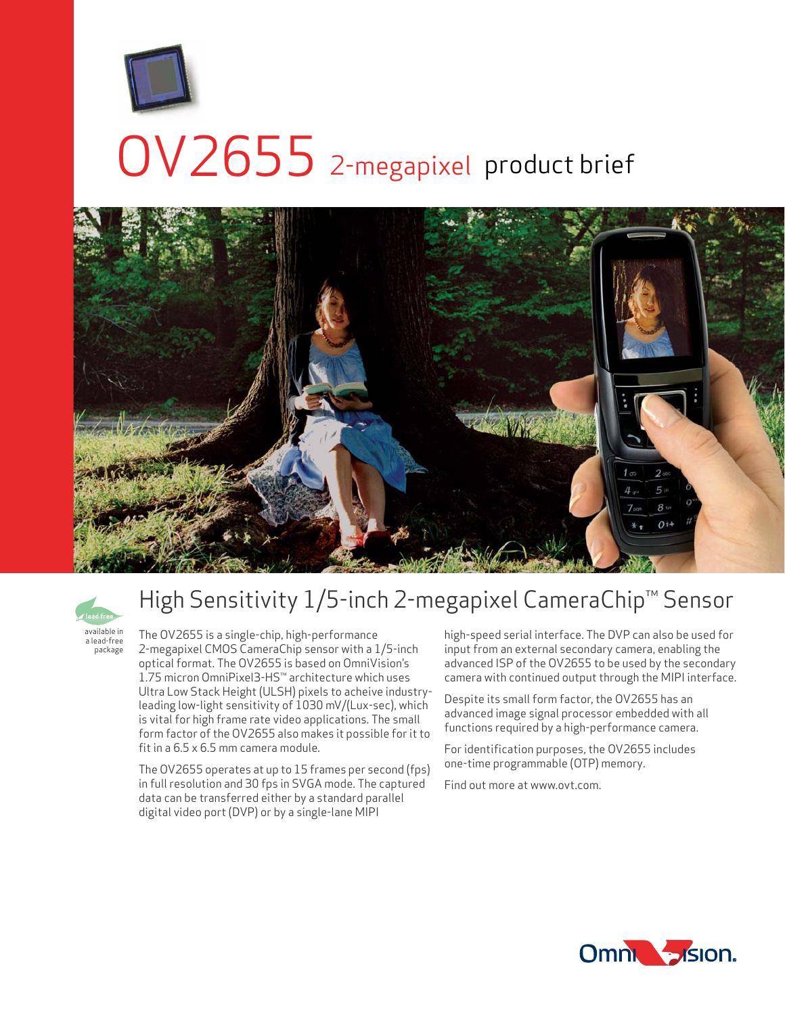

# OV2655 2-megapixel product brief





a lead-free package

# High Sensitivity 1/5-inch 2-megapixel CameraChip™ Sensor

The OV2655 is a single-chip, high-performance 2-megapixel CMOS CameraChip sensor with a 1/5-inch optical format. The OV2655 is based on OmniVision's 1.75 micron OmniPixel3-HS™ architecture which uses Ultra Low Stack Height (ULSH) pixels to acheive industryleading low-light sensitivity of 1030 mV/(Lux-sec), which is vital for high frame rate video applications. The small form factor of the OV2655 also makes it possible for it to fit in a 6.5 x 6.5 mm camera module.

The OV2655 operates at up to 15 frames per second (fps) in full resolution and 30 fps in SVGA mode. The captured data can be transferred either by a standard parallel digital video port (DVP) or by a single-lane MIPI

high-speed serial interface. The DVP can also be used for input from an external secondary camera, enabling the advanced ISP of the OV2655 to be used by the secondary camera with continued output through the MIPI interface.

Despite its small form factor, the OV2655 has an advanced image signal processor embedded with all functions required by a high-performance camera.

For identification purposes, the OV2655 includes one-time programmable (OTP) memory.

Find out more at www.ovt.com.